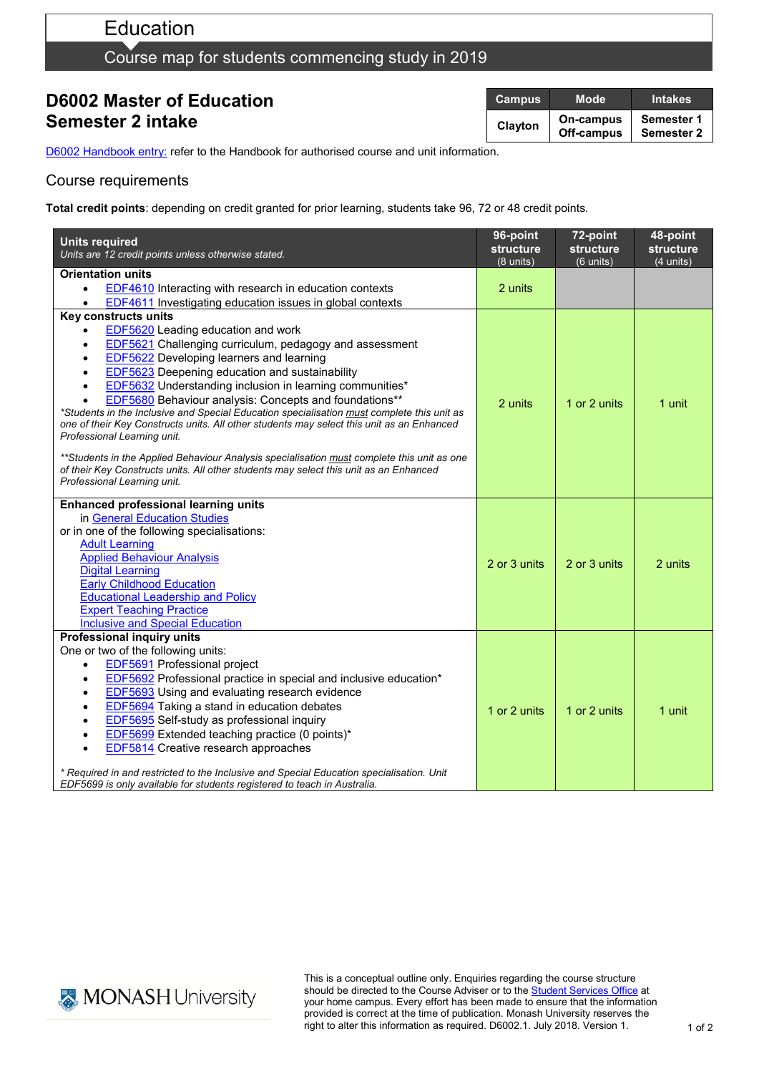# Education

# Course map for students commencing study in 2019

## **D6002 Master of Education Semester 2 intake**

| <b>Campus</b> | Mode'                   | <b>Intakes</b>           |
|---------------|-------------------------|--------------------------|
| Clayton       | On-campus<br>Off-campus | Semester 1<br>Semester 2 |

D6002 [Handbook entry:](http://www.monash.edu.au/pubs/2019handbooks/courses/D6002.html) refer to the Handbook for authorised course and unit information.

### Course requirements

**Total credit points**: depending on credit granted for prior learning, students take 96, 72 or 48 credit points.

| <b>Units required</b><br>Units are 12 credit points unless otherwise stated.                                                                                                        | 96-point<br>structure<br>$(8 \text{ units})$ | 72-point<br><b>structure</b><br>$(6$ units) | 48-point<br>structure<br>$(4$ units) |
|-------------------------------------------------------------------------------------------------------------------------------------------------------------------------------------|----------------------------------------------|---------------------------------------------|--------------------------------------|
| Orientation units                                                                                                                                                                   |                                              |                                             |                                      |
| <b>EDF4610</b> Interacting with research in education contexts<br>$\bullet$                                                                                                         | 2 units                                      |                                             |                                      |
| <b>EDF4611</b> Investigating education issues in global contexts                                                                                                                    |                                              |                                             |                                      |
| Key constructs units                                                                                                                                                                |                                              |                                             |                                      |
| <b>EDF5620</b> Leading education and work                                                                                                                                           |                                              |                                             |                                      |
| EDF5621 Challenging curriculum, pedagogy and assessment<br>$\bullet$                                                                                                                |                                              |                                             |                                      |
| EDF5622 Developing learners and learning                                                                                                                                            |                                              |                                             |                                      |
| <b>EDF5623</b> Deepening education and sustainability                                                                                                                               |                                              |                                             |                                      |
| <b>EDF5632</b> Understanding inclusion in learning communities*                                                                                                                     | 2 units                                      | 1 or 2 units                                | 1 unit                               |
| <b>EDF5680</b> Behaviour analysis: Concepts and foundations**<br>*Students in the Inclusive and Special Education specialisation must complete this unit as                         |                                              |                                             |                                      |
| one of their Key Constructs units. All other students may select this unit as an Enhanced                                                                                           |                                              |                                             |                                      |
| Professional Learning unit.                                                                                                                                                         |                                              |                                             |                                      |
|                                                                                                                                                                                     |                                              |                                             |                                      |
| **Students in the Applied Behaviour Analysis specialisation must complete this unit as one<br>of their Key Constructs units. All other students may select this unit as an Enhanced |                                              |                                             |                                      |
| Professional Learning unit.                                                                                                                                                         |                                              |                                             |                                      |
|                                                                                                                                                                                     |                                              |                                             |                                      |
| <b>Enhanced professional learning units</b>                                                                                                                                         |                                              |                                             |                                      |
| in General Education Studies                                                                                                                                                        |                                              |                                             |                                      |
| or in one of the following specialisations:                                                                                                                                         |                                              |                                             |                                      |
| <b>Adult Learning</b>                                                                                                                                                               |                                              |                                             |                                      |
| <b>Applied Behaviour Analysis</b><br><b>Digital Learning</b>                                                                                                                        | 2 or 3 units                                 | 2 or 3 units                                | 2 units                              |
| <b>Early Childhood Education</b>                                                                                                                                                    |                                              |                                             |                                      |
| <b>Educational Leadership and Policy</b>                                                                                                                                            |                                              |                                             |                                      |
| <b>Expert Teaching Practice</b>                                                                                                                                                     |                                              |                                             |                                      |
| <b>Inclusive and Special Education</b>                                                                                                                                              |                                              |                                             |                                      |
| <b>Professional inquiry units</b>                                                                                                                                                   |                                              |                                             |                                      |
| One or two of the following units:                                                                                                                                                  |                                              |                                             |                                      |
| EDF5691 Professional project<br>$\bullet$                                                                                                                                           |                                              |                                             |                                      |
| <b>EDF5692</b> Professional practice in special and inclusive education*<br>$\bullet$                                                                                               |                                              |                                             |                                      |
| <b>EDF5693</b> Using and evaluating research evidence                                                                                                                               |                                              |                                             |                                      |
| <b>EDF5694</b> Taking a stand in education debates                                                                                                                                  | 1 or 2 units                                 | 1 or 2 units                                | 1 unit                               |
| EDF5695 Self-study as professional inquiry                                                                                                                                          |                                              |                                             |                                      |
| EDF5699 Extended teaching practice (0 points)*                                                                                                                                      |                                              |                                             |                                      |
| <b>EDF5814</b> Creative research approaches                                                                                                                                         |                                              |                                             |                                      |
| * Required in and restricted to the Inclusive and Special Education specialisation. Unit                                                                                            |                                              |                                             |                                      |
| EDF5699 is only available for students registered to teach in Australia.                                                                                                            |                                              |                                             |                                      |



This is a conceptual outline only. Enquiries regarding the course structure should be directed to the Course Adviser or to the **Student Services Office** at your home campus. Every effort has been made to ensure that the information provided is correct at the time of publication. Monash University reserves the right to alter this information as required. D6002.1. July 2018. Version 1.